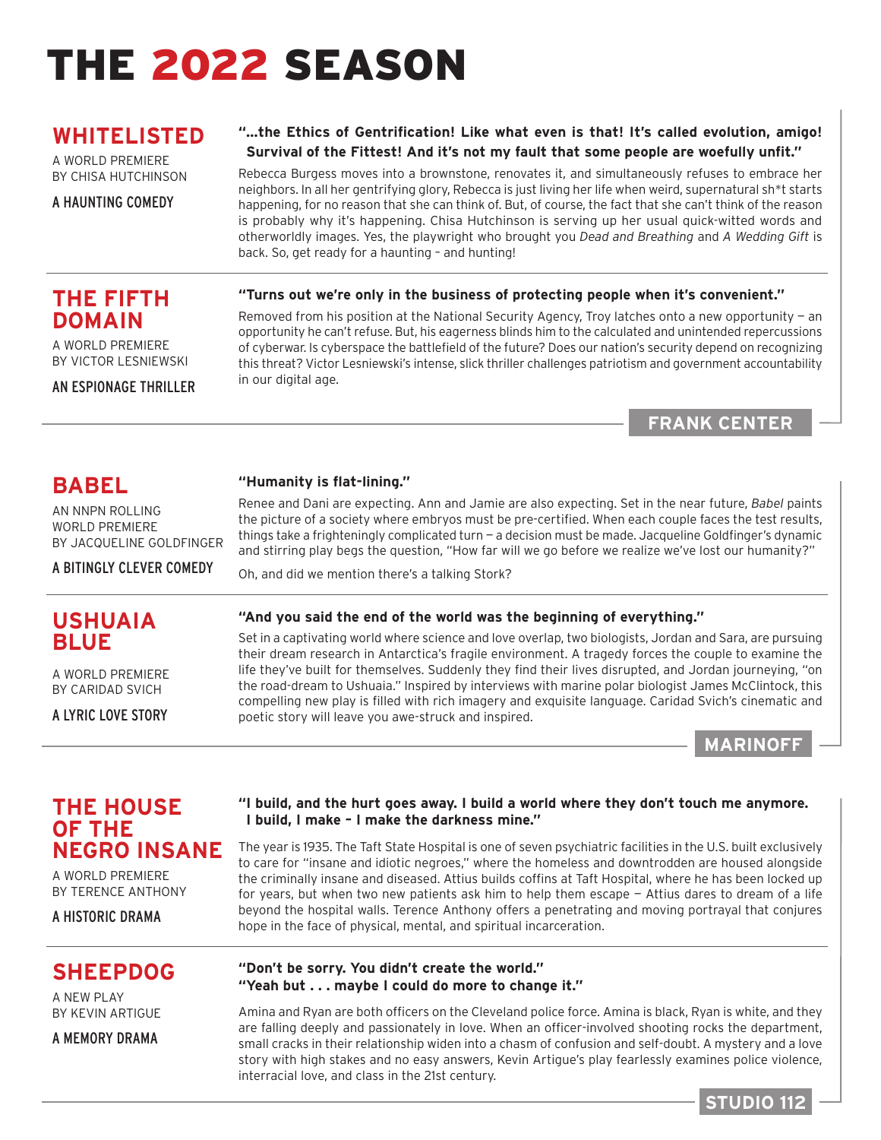# THE 2022 SEASON

# **WHITELISTED**

A WORLD PREMIERE BY CHISA HUTCHINSON

A HAUNTING COMEDY

#### **"…the Ethics of Gentrification! Like what even is that! It's called evolution, amigo! Survival of the Fittest! And it's not my fault that some people are woefully unfit."**

Rebecca Burgess moves into a brownstone, renovates it, and simultaneously refuses to embrace her neighbors. In all her gentrifying glory, Rebecca is just living her life when weird, supernatural sh\*t starts happening, for no reason that she can think of. But, of course, the fact that she can't think of the reason is probably why it's happening. Chisa Hutchinson is serving up her usual quick-witted words and otherworldly images. Yes, the playwright who brought you *Dead and Breathing* and *A Wedding Gift* is back. So, get ready for a haunting – and hunting!

### **THE FIFTH DOMAIN**

A WORLD PREMIERE BY VICTOR LESNIEWSKI

AN ESPIONAGE THRILLER

# **"Turns out we're only in the business of protecting people when it's convenient."**

Removed from his position at the National Security Agency, Troy latches onto a new opportunity — an opportunity he can't refuse. But, his eagerness blinds him to the calculated and unintended repercussions of cyberwar. Is cyberspace the battlefield of the future? Does our nation's security depend on recognizing this threat? Victor Lesniewski's intense, slick thriller challenges patriotism and government accountability in our digital age.

AN NNPN ROLLING WORLD PREMIERE BY JACQUELINE GOLDFINGER

A BITINGLY CLEVER COMEDY

# **USHUAIA BLUE**

**BABEL**

A WORLD PREMIERE BY CARIDAD SVICH

A LYRIC LOVE STORY

#### **"Humanity is flat-lining."**

Renee and Dani are expecting. Ann and Jamie are also expecting. Set in the near future, *Babel* paints the picture of a society where embryos must be pre-certified. When each couple faces the test results, things take a frighteningly complicated turn — a decision must be made. Jacqueline Goldfinger's dynamic and stirring play begs the question, "How far will we go before we realize we've lost our humanity?"

Oh, and did we mention there's a talking Stork?

#### **"And you said the end of the world was the beginning of everything."**

Set in a captivating world where science and love overlap, two biologists, Jordan and Sara, are pursuing their dream research in Antarctica's fragile environment. A tragedy forces the couple to examine the life they've built for themselves. Suddenly they find their lives disrupted, and Jordan journeying, "on the road-dream to Ushuaia." Inspired by interviews with marine polar biologist James McClintock, this compelling new play is filled with rich imagery and exquisite language. Caridad Svich's cinematic and poetic story will leave you awe-struck and inspired.

**MARINOF** 

**FRANK CENTER**

### **THE HOUSE OF THE NEGRO INSANE**

A WORLD PREMIERE BY TERENCE ANTHONY

A HISTORIC DRAMA

#### **"I build, and the hurt goes away. I build a world where they don't touch me anymore. I build, I make – I make the darkness mine."**

The year is 1935. The Taft State Hospital is one of seven psychiatric facilities in the U.S. built exclusively to care for "insane and idiotic negroes," where the homeless and downtrodden are housed alongside the criminally insane and diseased. Attius builds coffins at Taft Hospital, where he has been locked up for years, but when two new patients ask him to help them escape — Attius dares to dream of a life beyond the hospital walls. Terence Anthony offers a penetrating and moving portrayal that conjures hope in the face of physical, mental, and spiritual incarceration.

# **SHEEPDOG**

A NEW PLAY BY KEVIN ARTIGUE

A MEMORY DRAMA

#### **"Don't be sorry. You didn't create the world." "Yeah but . . . maybe I could do more to change it."**

Amina and Ryan are both officers on the Cleveland police force. Amina is black, Ryan is white, and they are falling deeply and passionately in love. When an officer-involved shooting rocks the department, small cracks in their relationship widen into a chasm of confusion and self-doubt. A mystery and a love story with high stakes and no easy answers, Kevin Artigue's play fearlessly examines police violence, interracial love, and class in the 21st century.